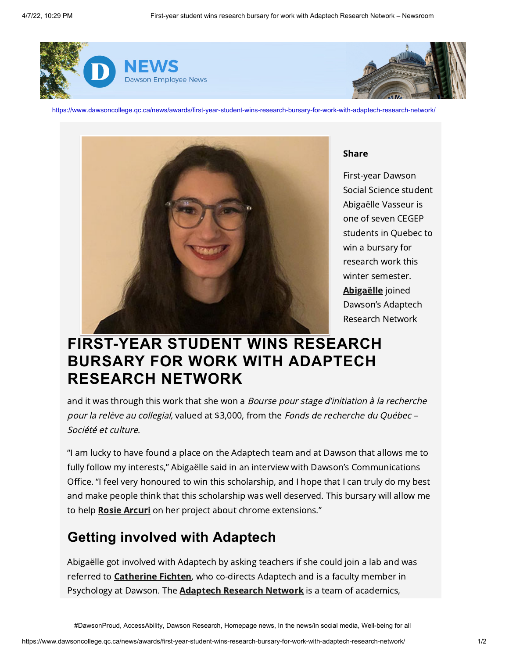



https://www.dawsoncollege.qc.ca/news/awards/first-year-student-wins-research-bursary-for-work-with-adaptech-research-network/



Share

First-year Dawson Social Science student Abigaëlle Vasseur is one of seven CEGEP students in Quebec to win a bursary for research work this winter semester. [Abigaëlle](https://adaptech.org/team/abigaelle-vasseur/) joined Dawson's Adaptech Research Network

## **FIRST-YEAR STUDENT WINS RESEARCH BURSARY FOR WORK WITH ADAPTECH RESEARCH NETWORK**

and it was through this work that she won a *Bourse pour stage d'initiation à la recherche* pour la relève au collegial, valued at \$3,000, from the Fonds de recherche du Québec -Société et culture.

"I am lucky to have found a place on the Adaptech team and at Dawson that allows me to fully follow my interests," Abigaëlle said in an interview with Dawson's Communications Office. "I feel very honoured to win this scholarship, and I hope that I can truly do my best and make people think that this scholarship was well deserved. This bursary will allow me to help [Rosie Arcuri](https://adaptech.org/team/rosie-arcuri/) on her project about chrome extensions."

## **Getting involved with Adaptech**

Abigaëlle got involved with Adaptech by asking teachers if she could join a lab and was referred to **Catherine Fichten**, who co-directs Adaptech and is a faculty member in Psychology at Dawson. The **Adaptech Research Network** is a team of academics,